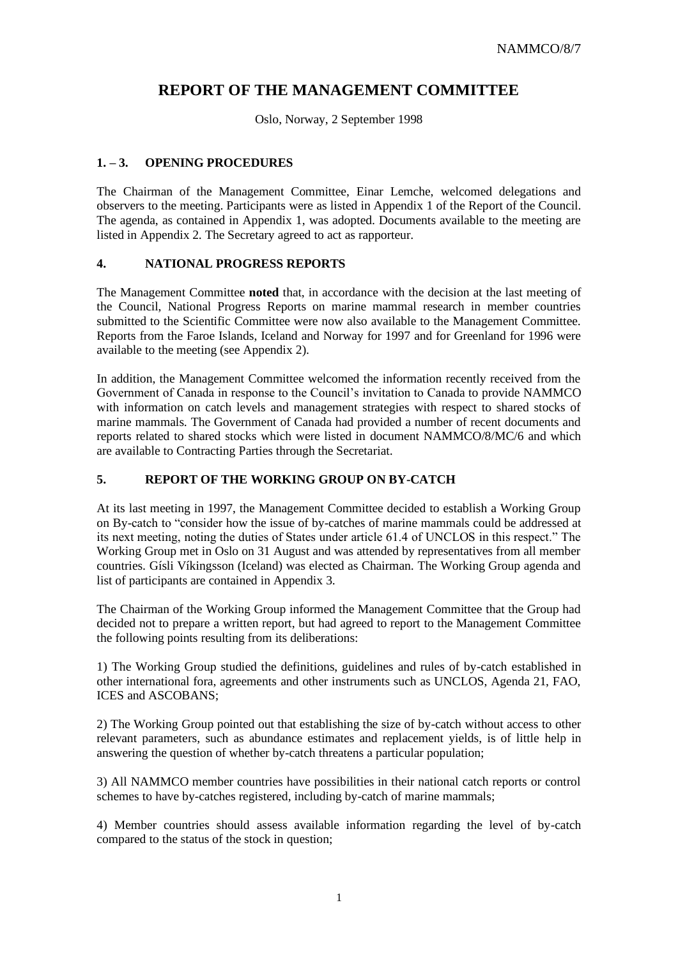# **REPORT OF THE MANAGEMENT COMMITTEE**

Oslo, Norway, 2 September 1998

## **1. – 3. OPENING PROCEDURES**

The Chairman of the Management Committee, Einar Lemche, welcomed delegations and observers to the meeting. Participants were as listed in Appendix 1 of the Report of the Council. The agenda, as contained in Appendix 1, was adopted. Documents available to the meeting are listed in Appendix 2. The Secretary agreed to act as rapporteur.

#### **4. NATIONAL PROGRESS REPORTS**

The Management Committee **noted** that, in accordance with the decision at the last meeting of the Council, National Progress Reports on marine mammal research in member countries submitted to the Scientific Committee were now also available to the Management Committee. Reports from the Faroe Islands, Iceland and Norway for 1997 and for Greenland for 1996 were available to the meeting (see Appendix 2).

In addition, the Management Committee welcomed the information recently received from the Government of Canada in response to the Council's invitation to Canada to provide NAMMCO with information on catch levels and management strategies with respect to shared stocks of marine mammals. The Government of Canada had provided a number of recent documents and reports related to shared stocks which were listed in document NAMMCO/8/MC/6 and which are available to Contracting Parties through the Secretariat.

## **5. REPORT OF THE WORKING GROUP ON BY-CATCH**

At its last meeting in 1997, the Management Committee decided to establish a Working Group on By-catch to "consider how the issue of by-catches of marine mammals could be addressed at its next meeting, noting the duties of States under article 61.4 of UNCLOS in this respect." The Working Group met in Oslo on 31 August and was attended by representatives from all member countries. Gísli Víkingsson (Iceland) was elected as Chairman. The Working Group agenda and list of participants are contained in Appendix 3.

The Chairman of the Working Group informed the Management Committee that the Group had decided not to prepare a written report, but had agreed to report to the Management Committee the following points resulting from its deliberations:

1) The Working Group studied the definitions, guidelines and rules of by-catch established in other international fora, agreements and other instruments such as UNCLOS, Agenda 21, FAO, ICES and ASCOBANS;

2) The Working Group pointed out that establishing the size of by-catch without access to other relevant parameters, such as abundance estimates and replacement yields, is of little help in answering the question of whether by-catch threatens a particular population;

3) All NAMMCO member countries have possibilities in their national catch reports or control schemes to have by-catches registered, including by-catch of marine mammals;

4) Member countries should assess available information regarding the level of by-catch compared to the status of the stock in question;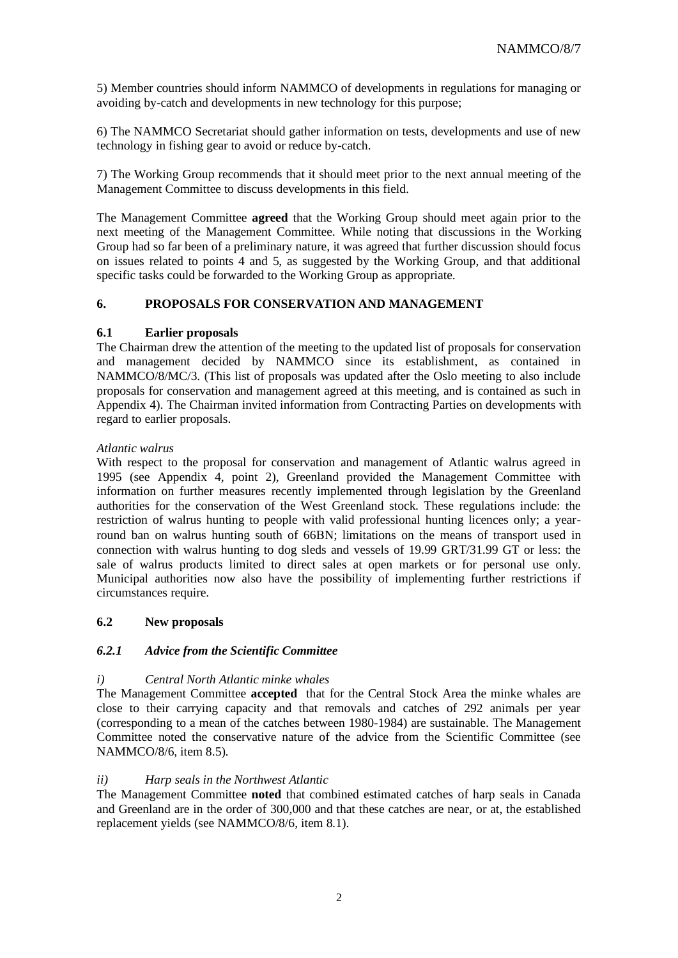5) Member countries should inform NAMMCO of developments in regulations for managing or avoiding by-catch and developments in new technology for this purpose;

6) The NAMMCO Secretariat should gather information on tests, developments and use of new technology in fishing gear to avoid or reduce by-catch.

7) The Working Group recommends that it should meet prior to the next annual meeting of the Management Committee to discuss developments in this field.

The Management Committee **agreed** that the Working Group should meet again prior to the next meeting of the Management Committee. While noting that discussions in the Working Group had so far been of a preliminary nature, it was agreed that further discussion should focus on issues related to points 4 and 5, as suggested by the Working Group, and that additional specific tasks could be forwarded to the Working Group as appropriate.

#### **6. PROPOSALS FOR CONSERVATION AND MANAGEMENT**

#### **6.1 Earlier proposals**

The Chairman drew the attention of the meeting to the updated list of proposals for conservation and management decided by NAMMCO since its establishment, as contained in NAMMCO/8/MC/3. (This list of proposals was updated after the Oslo meeting to also include proposals for conservation and management agreed at this meeting, and is contained as such in Appendix 4). The Chairman invited information from Contracting Parties on developments with regard to earlier proposals.

#### *Atlantic walrus*

With respect to the proposal for conservation and management of Atlantic walrus agreed in 1995 (see Appendix 4, point 2), Greenland provided the Management Committee with information on further measures recently implemented through legislation by the Greenland authorities for the conservation of the West Greenland stock. These regulations include: the restriction of walrus hunting to people with valid professional hunting licences only; a yearround ban on walrus hunting south of 66BN; limitations on the means of transport used in connection with walrus hunting to dog sleds and vessels of 19.99 GRT/31.99 GT or less: the sale of walrus products limited to direct sales at open markets or for personal use only. Municipal authorities now also have the possibility of implementing further restrictions if circumstances require.

## **6.2 New proposals**

## *6.2.1 Advice from the Scientific Committee*

## *i) Central North Atlantic minke whales*

The Management Committee **accepted** that for the Central Stock Area the minke whales are close to their carrying capacity and that removals and catches of 292 animals per year (corresponding to a mean of the catches between 1980-1984) are sustainable. The Management Committee noted the conservative nature of the advice from the Scientific Committee (see NAMMCO/8/6, item 8.5).

## *ii) Harp seals in the Northwest Atlantic*

The Management Committee **noted** that combined estimated catches of harp seals in Canada and Greenland are in the order of 300,000 and that these catches are near, or at, the established replacement yields (see NAMMCO/8/6, item 8.1).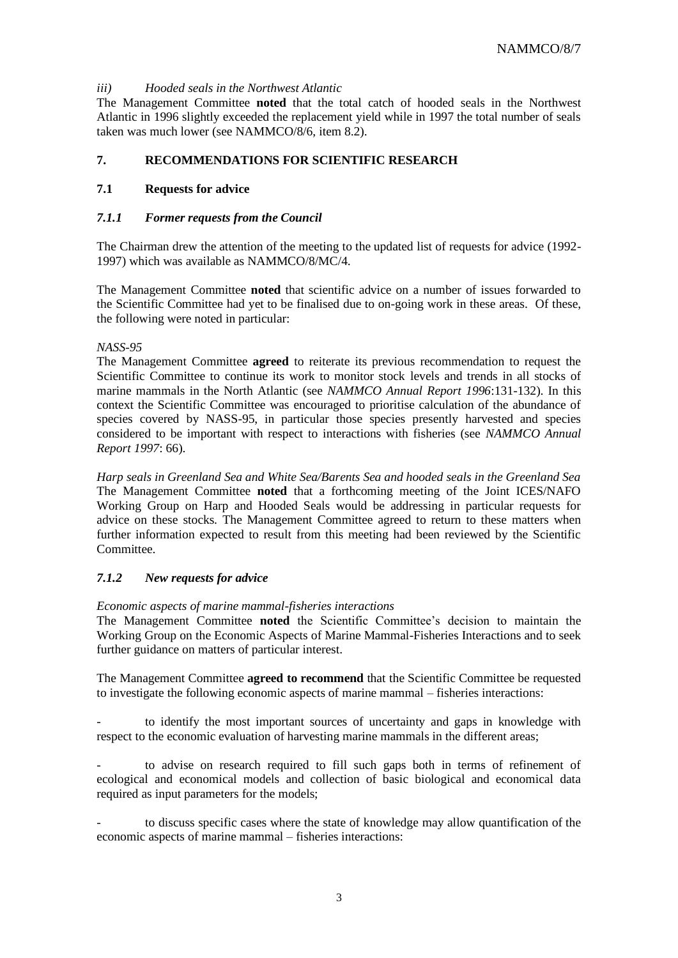### *iii) Hooded seals in the Northwest Atlantic*

The Management Committee **noted** that the total catch of hooded seals in the Northwest Atlantic in 1996 slightly exceeded the replacement yield while in 1997 the total number of seals taken was much lower (see NAMMCO/8/6, item 8.2).

## **7. RECOMMENDATIONS FOR SCIENTIFIC RESEARCH**

### **7.1 Requests for advice**

#### *7.1.1 Former requests from the Council*

The Chairman drew the attention of the meeting to the updated list of requests for advice (1992- 1997) which was available as NAMMCO/8/MC/4.

The Management Committee **noted** that scientific advice on a number of issues forwarded to the Scientific Committee had yet to be finalised due to on-going work in these areas. Of these, the following were noted in particular:

#### *NASS-95*

The Management Committee **agreed** to reiterate its previous recommendation to request the Scientific Committee to continue its work to monitor stock levels and trends in all stocks of marine mammals in the North Atlantic (see *NAMMCO Annual Report 1996*:131-132). In this context the Scientific Committee was encouraged to prioritise calculation of the abundance of species covered by NASS-95, in particular those species presently harvested and species considered to be important with respect to interactions with fisheries (see *NAMMCO Annual Report 1997*: 66).

*Harp seals in Greenland Sea and White Sea/Barents Sea and hooded seals in the Greenland Sea*  The Management Committee **noted** that a forthcoming meeting of the Joint ICES/NAFO Working Group on Harp and Hooded Seals would be addressing in particular requests for advice on these stocks. The Management Committee agreed to return to these matters when further information expected to result from this meeting had been reviewed by the Scientific Committee.

## *7.1.2 New requests for advice*

#### *Economic aspects of marine mammal-fisheries interactions*

The Management Committee **noted** the Scientific Committee's decision to maintain the Working Group on the Economic Aspects of Marine Mammal-Fisheries Interactions and to seek further guidance on matters of particular interest.

The Management Committee **agreed to recommend** that the Scientific Committee be requested to investigate the following economic aspects of marine mammal – fisheries interactions:

to identify the most important sources of uncertainty and gaps in knowledge with respect to the economic evaluation of harvesting marine mammals in the different areas;

to advise on research required to fill such gaps both in terms of refinement of ecological and economical models and collection of basic biological and economical data required as input parameters for the models;

- to discuss specific cases where the state of knowledge may allow quantification of the economic aspects of marine mammal – fisheries interactions: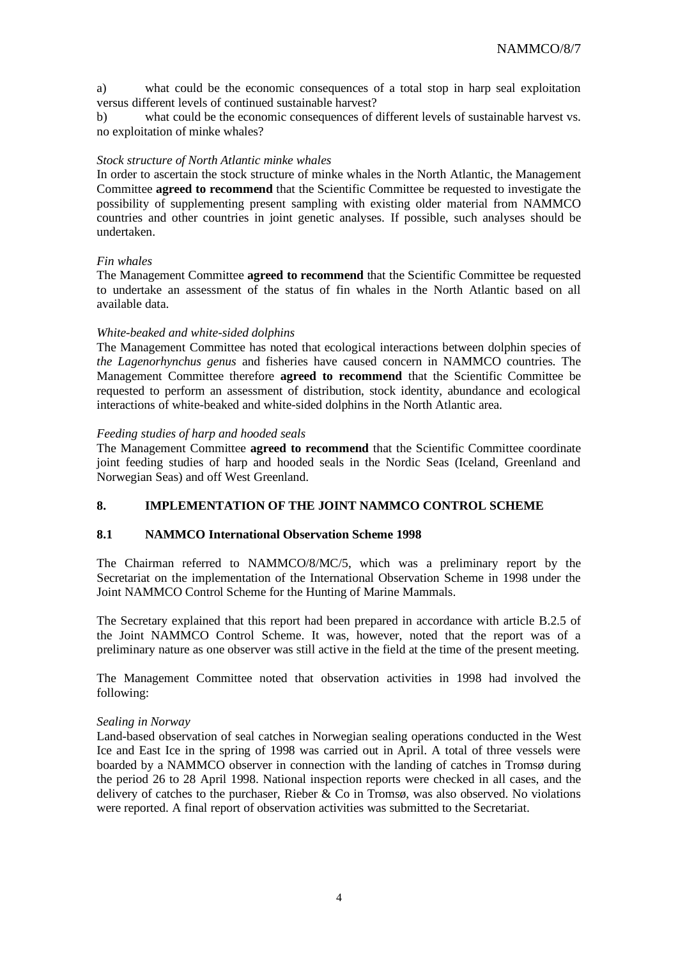a) what could be the economic consequences of a total stop in harp seal exploitation versus different levels of continued sustainable harvest?

b) what could be the economic consequences of different levels of sustainable harvest vs. no exploitation of minke whales?

#### *Stock structure of North Atlantic minke whales*

In order to ascertain the stock structure of minke whales in the North Atlantic, the Management Committee **agreed to recommend** that the Scientific Committee be requested to investigate the possibility of supplementing present sampling with existing older material from NAMMCO countries and other countries in joint genetic analyses. If possible, such analyses should be undertaken.

#### *Fin whales*

The Management Committee **agreed to recommend** that the Scientific Committee be requested to undertake an assessment of the status of fin whales in the North Atlantic based on all available data.

#### *White-beaked and white-sided dolphins*

The Management Committee has noted that ecological interactions between dolphin species of *the Lagenorhynchus genus* and fisheries have caused concern in NAMMCO countries. The Management Committee therefore **agreed to recommend** that the Scientific Committee be requested to perform an assessment of distribution, stock identity, abundance and ecological interactions of white-beaked and white-sided dolphins in the North Atlantic area.

#### *Feeding studies of harp and hooded seals*

The Management Committee **agreed to recommend** that the Scientific Committee coordinate joint feeding studies of harp and hooded seals in the Nordic Seas (Iceland, Greenland and Norwegian Seas) and off West Greenland.

## **8. IMPLEMENTATION OF THE JOINT NAMMCO CONTROL SCHEME**

#### **8.1 NAMMCO International Observation Scheme 1998**

The Chairman referred to NAMMCO/8/MC/5, which was a preliminary report by the Secretariat on the implementation of the International Observation Scheme in 1998 under the Joint NAMMCO Control Scheme for the Hunting of Marine Mammals.

The Secretary explained that this report had been prepared in accordance with article B.2.5 of the Joint NAMMCO Control Scheme. It was, however, noted that the report was of a preliminary nature as one observer was still active in the field at the time of the present meeting.

The Management Committee noted that observation activities in 1998 had involved the following:

#### *Sealing in Norway*

Land-based observation of seal catches in Norwegian sealing operations conducted in the West Ice and East Ice in the spring of 1998 was carried out in April. A total of three vessels were boarded by a NAMMCO observer in connection with the landing of catches in Tromsø during the period 26 to 28 April 1998. National inspection reports were checked in all cases, and the delivery of catches to the purchaser. Rieber  $\&$  Co in Tromsø, was also observed. No violations were reported. A final report of observation activities was submitted to the Secretariat.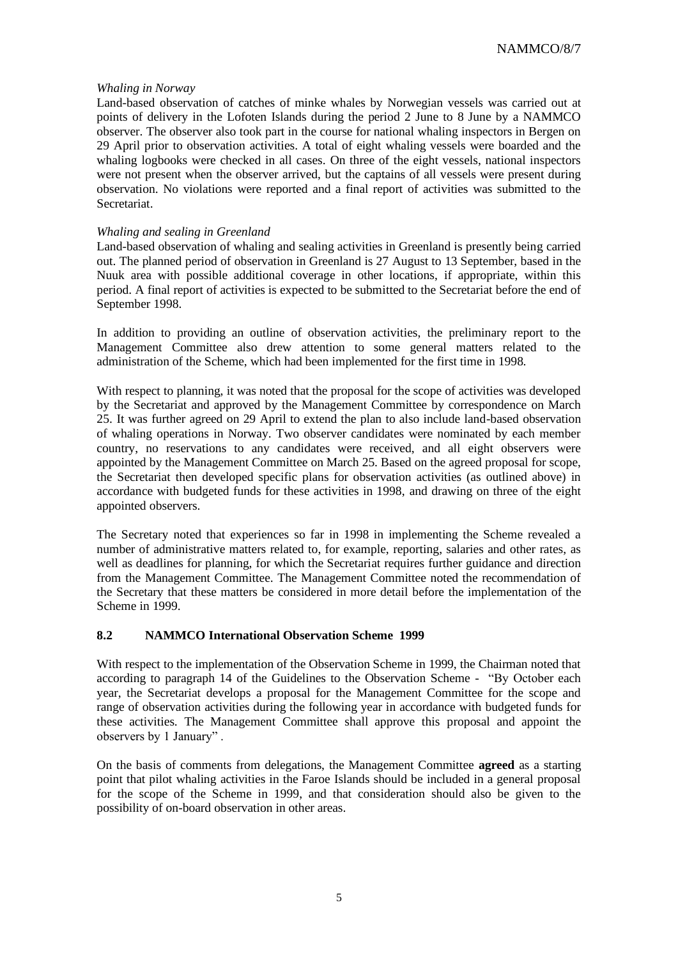#### *Whaling in Norway*

Land-based observation of catches of minke whales by Norwegian vessels was carried out at points of delivery in the Lofoten Islands during the period 2 June to 8 June by a NAMMCO observer. The observer also took part in the course for national whaling inspectors in Bergen on 29 April prior to observation activities. A total of eight whaling vessels were boarded and the whaling logbooks were checked in all cases. On three of the eight vessels, national inspectors were not present when the observer arrived, but the captains of all vessels were present during observation. No violations were reported and a final report of activities was submitted to the Secretariat.

#### *Whaling and sealing in Greenland*

Land-based observation of whaling and sealing activities in Greenland is presently being carried out. The planned period of observation in Greenland is 27 August to 13 September, based in the Nuuk area with possible additional coverage in other locations, if appropriate, within this period. A final report of activities is expected to be submitted to the Secretariat before the end of September 1998.

In addition to providing an outline of observation activities, the preliminary report to the Management Committee also drew attention to some general matters related to the administration of the Scheme, which had been implemented for the first time in 1998.

With respect to planning, it was noted that the proposal for the scope of activities was developed by the Secretariat and approved by the Management Committee by correspondence on March 25. It was further agreed on 29 April to extend the plan to also include land-based observation of whaling operations in Norway. Two observer candidates were nominated by each member country, no reservations to any candidates were received, and all eight observers were appointed by the Management Committee on March 25. Based on the agreed proposal for scope, the Secretariat then developed specific plans for observation activities (as outlined above) in accordance with budgeted funds for these activities in 1998, and drawing on three of the eight appointed observers.

The Secretary noted that experiences so far in 1998 in implementing the Scheme revealed a number of administrative matters related to, for example, reporting, salaries and other rates, as well as deadlines for planning, for which the Secretariat requires further guidance and direction from the Management Committee. The Management Committee noted the recommendation of the Secretary that these matters be considered in more detail before the implementation of the Scheme in 1999.

## **8.2 NAMMCO International Observation Scheme 1999**

With respect to the implementation of the Observation Scheme in 1999, the Chairman noted that according to paragraph 14 of the Guidelines to the Observation Scheme - "By October each year, the Secretariat develops a proposal for the Management Committee for the scope and range of observation activities during the following year in accordance with budgeted funds for these activities. The Management Committee shall approve this proposal and appoint the observers by 1 January" .

On the basis of comments from delegations, the Management Committee **agreed** as a starting point that pilot whaling activities in the Faroe Islands should be included in a general proposal for the scope of the Scheme in 1999, and that consideration should also be given to the possibility of on-board observation in other areas.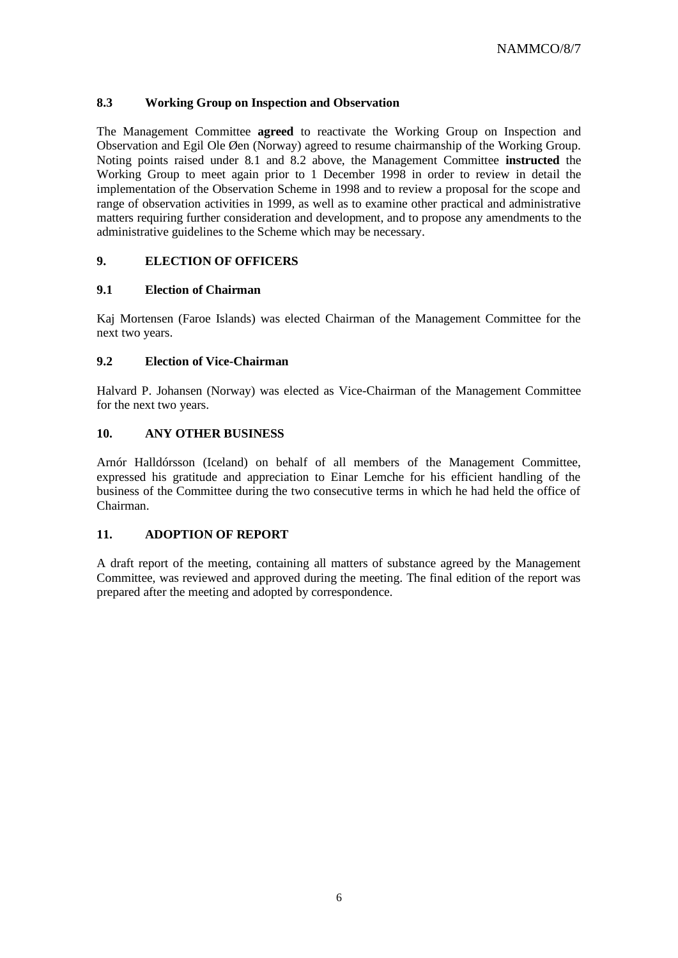## **8.3 Working Group on Inspection and Observation**

The Management Committee **agreed** to reactivate the Working Group on Inspection and Observation and Egil Ole Øen (Norway) agreed to resume chairmanship of the Working Group. Noting points raised under 8.1 and 8.2 above, the Management Committee **instructed** the Working Group to meet again prior to 1 December 1998 in order to review in detail the implementation of the Observation Scheme in 1998 and to review a proposal for the scope and range of observation activities in 1999, as well as to examine other practical and administrative matters requiring further consideration and development, and to propose any amendments to the administrative guidelines to the Scheme which may be necessary.

## **9. ELECTION OF OFFICERS**

## **9.1 Election of Chairman**

Kaj Mortensen (Faroe Islands) was elected Chairman of the Management Committee for the next two years.

## **9.2 Election of Vice-Chairman**

Halvard P. Johansen (Norway) was elected as Vice-Chairman of the Management Committee for the next two years.

## **10. ANY OTHER BUSINESS**

Arnór Halldórsson (Iceland) on behalf of all members of the Management Committee, expressed his gratitude and appreciation to Einar Lemche for his efficient handling of the business of the Committee during the two consecutive terms in which he had held the office of Chairman.

## **11. ADOPTION OF REPORT**

A draft report of the meeting, containing all matters of substance agreed by the Management Committee, was reviewed and approved during the meeting. The final edition of the report was prepared after the meeting and adopted by correspondence.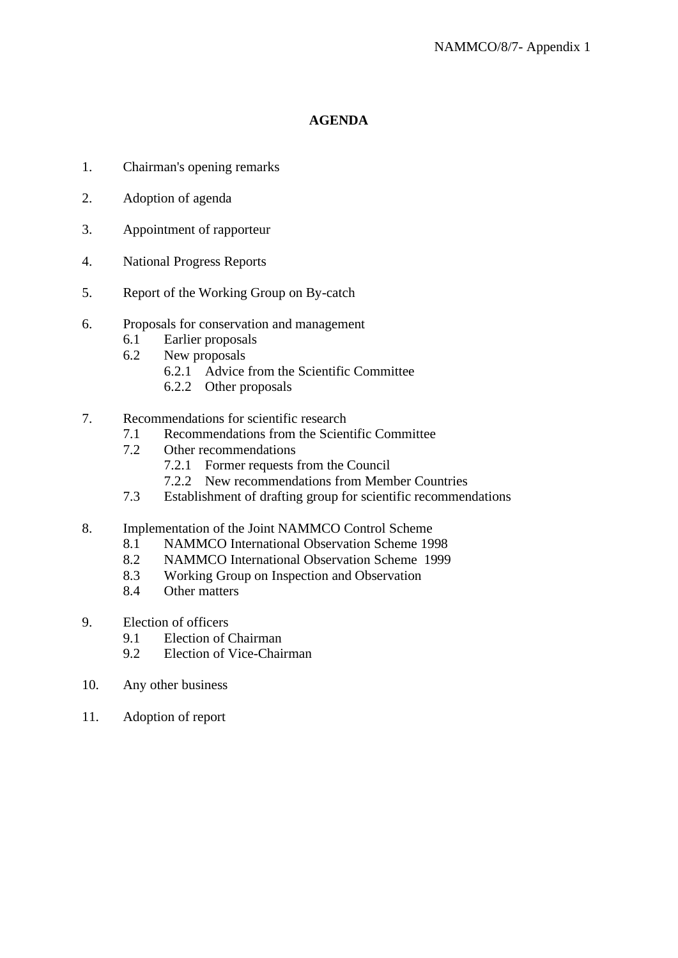## **AGENDA**

- 1. Chairman's opening remarks
- 2. Adoption of agenda
- 3. Appointment of rapporteur
- 4. National Progress Reports
- 5. Report of the Working Group on By-catch
- 6. Proposals for conservation and management
	- 6.1 Earlier proposals
	- 6.2 New proposals
		- 6.2.1 Advice from the Scientific Committee
		- 6.2.2 Other proposals
- 7. Recommendations for scientific research
	- 7.1 Recommendations from the Scientific Committee
	- 7.2 Other recommendations
		- 7.2.1 Former requests from the Council
		- 7.2.2 New recommendations from Member Countries
	- 7.3 Establishment of drafting group for scientific recommendations
- 8. Implementation of the Joint NAMMCO Control Scheme
	- 8.1 NAMMCO International Observation Scheme 1998
	- 8.2 NAMMCO International Observation Scheme 1999
	- 8.3 Working Group on Inspection and Observation
	- 8.4 Other matters
- 9. Election of officers
	- 9.1 Election of Chairman
	- 9.2 Election of Vice-Chairman
- 10. Any other business
- 11. Adoption of report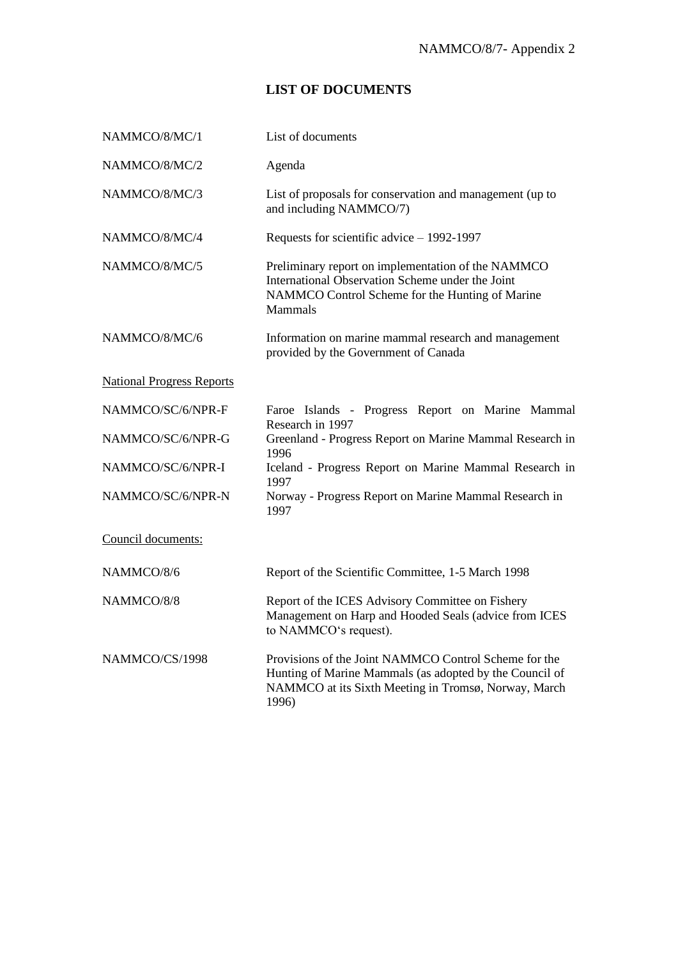## **LIST OF DOCUMENTS**

| NAMMCO/8/MC/1                    | List of documents                                                                                                                                                                 |
|----------------------------------|-----------------------------------------------------------------------------------------------------------------------------------------------------------------------------------|
| NAMMCO/8/MC/2                    | Agenda                                                                                                                                                                            |
| NAMMCO/8/MC/3                    | List of proposals for conservation and management (up to<br>and including NAMMCO/7)                                                                                               |
| NAMMCO/8/MC/4                    | Requests for scientific advice $-$ 1992-1997                                                                                                                                      |
| NAMMCO/8/MC/5                    | Preliminary report on implementation of the NAMMCO<br>International Observation Scheme under the Joint<br>NAMMCO Control Scheme for the Hunting of Marine<br><b>Mammals</b>       |
| NAMMCO/8/MC/6                    | Information on marine mammal research and management<br>provided by the Government of Canada                                                                                      |
| <b>National Progress Reports</b> |                                                                                                                                                                                   |
| NAMMCO/SC/6/NPR-F                | Faroe Islands - Progress Report on Marine Mammal<br>Research in 1997                                                                                                              |
| NAMMCO/SC/6/NPR-G                | Greenland - Progress Report on Marine Mammal Research in<br>1996                                                                                                                  |
| NAMMCO/SC/6/NPR-I                | Iceland - Progress Report on Marine Mammal Research in<br>1997                                                                                                                    |
| NAMMCO/SC/6/NPR-N                | Norway - Progress Report on Marine Mammal Research in<br>1997                                                                                                                     |
| Council documents:               |                                                                                                                                                                                   |
| NAMMCO/8/6                       | Report of the Scientific Committee, 1-5 March 1998                                                                                                                                |
| NAMMCO/8/8                       | Report of the ICES Advisory Committee on Fishery<br>Management on Harp and Hooded Seals (advice from ICES<br>to NAMMCO's request).                                                |
| NAMMCO/CS/1998                   | Provisions of the Joint NAMMCO Control Scheme for the<br>Hunting of Marine Mammals (as adopted by the Council of<br>NAMMCO at its Sixth Meeting in Tromsø, Norway, March<br>1996) |